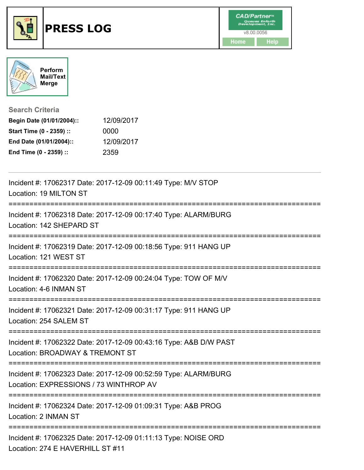



## **Search Criteria**

| Begin Date (01/01/2004):: | 12/09/2017 |
|---------------------------|------------|
| Start Time (0 - 2359) ::  | 0000       |
| End Date (01/01/2004)::   | 12/09/2017 |
| End Time (0 - 2359) ::    | 2359       |

| Incident #: 17062317 Date: 2017-12-09 00:11:49 Type: M/V STOP<br>Location: 19 MILTON ST                   |
|-----------------------------------------------------------------------------------------------------------|
| Incident #: 17062318 Date: 2017-12-09 00:17:40 Type: ALARM/BURG<br>Location: 142 SHEPARD ST               |
| Incident #: 17062319 Date: 2017-12-09 00:18:56 Type: 911 HANG UP<br>Location: 121 WEST ST                 |
| Incident #: 17062320 Date: 2017-12-09 00:24:04 Type: TOW OF M/V<br>Location: 4-6 INMAN ST                 |
| Incident #: 17062321 Date: 2017-12-09 00:31:17 Type: 911 HANG UP<br>Location: 254 SALEM ST                |
| Incident #: 17062322 Date: 2017-12-09 00:43:16 Type: A&B D/W PAST<br>Location: BROADWAY & TREMONT ST      |
| Incident #: 17062323 Date: 2017-12-09 00:52:59 Type: ALARM/BURG<br>Location: EXPRESSIONS / 73 WINTHROP AV |
| Incident #: 17062324 Date: 2017-12-09 01:09:31 Type: A&B PROG<br>Location: 2 INMAN ST                     |
| Incident #: 17062325 Date: 2017-12-09 01:11:13 Type: NOISE ORD<br>Location: 274 E HAVERHILL ST #11        |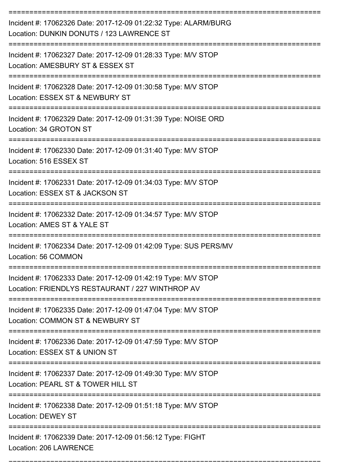| Incident #: 17062326 Date: 2017-12-09 01:22:32 Type: ALARM/BURG<br>Location: DUNKIN DONUTS / 123 LAWRENCE ST<br>------------------------- |
|-------------------------------------------------------------------------------------------------------------------------------------------|
| Incident #: 17062327 Date: 2017-12-09 01:28:33 Type: M/V STOP<br>Location: AMESBURY ST & ESSEX ST                                         |
| Incident #: 17062328 Date: 2017-12-09 01:30:58 Type: M/V STOP<br>Location: ESSEX ST & NEWBURY ST                                          |
| Incident #: 17062329 Date: 2017-12-09 01:31:39 Type: NOISE ORD<br>Location: 34 GROTON ST                                                  |
| Incident #: 17062330 Date: 2017-12-09 01:31:40 Type: M/V STOP<br>Location: 516 ESSEX ST                                                   |
| Incident #: 17062331 Date: 2017-12-09 01:34:03 Type: M/V STOP<br>Location: ESSEX ST & JACKSON ST                                          |
| Incident #: 17062332 Date: 2017-12-09 01:34:57 Type: M/V STOP<br>Location: AMES ST & YALE ST                                              |
| Incident #: 17062334 Date: 2017-12-09 01:42:09 Type: SUS PERS/MV<br>Location: 56 COMMON                                                   |
| Incident #: 17062333 Date: 2017-12-09 01:42:19 Type: M/V STOP<br>Location: FRIENDLYS RESTAURANT / 227 WINTHROP AV                         |
| Incident #: 17062335 Date: 2017-12-09 01:47:04 Type: M/V STOP<br>Location: COMMON ST & NEWBURY ST                                         |
| Incident #: 17062336 Date: 2017-12-09 01:47:59 Type: M/V STOP<br>Location: ESSEX ST & UNION ST                                            |
| Incident #: 17062337 Date: 2017-12-09 01:49:30 Type: M/V STOP<br>Location: PEARL ST & TOWER HILL ST                                       |
| Incident #: 17062338 Date: 2017-12-09 01:51:18 Type: M/V STOP<br><b>Location: DEWEY ST</b>                                                |
| Incident #: 17062339 Date: 2017-12-09 01:56:12 Type: FIGHT<br>Location: 206 LAWRENCE                                                      |

===========================================================================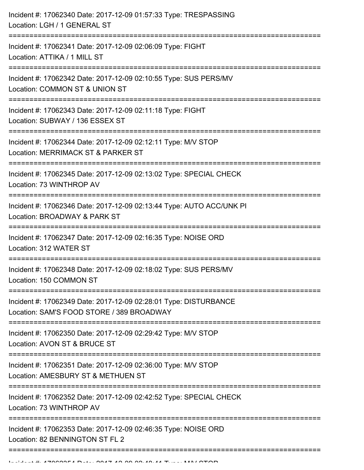| Incident #: 17062340 Date: 2017-12-09 01:57:33 Type: TRESPASSING<br>Location: LGH / 1 GENERAL ST                           |
|----------------------------------------------------------------------------------------------------------------------------|
| Incident #: 17062341 Date: 2017-12-09 02:06:09 Type: FIGHT<br>Location: ATTIKA / 1 MILL ST                                 |
| Incident #: 17062342 Date: 2017-12-09 02:10:55 Type: SUS PERS/MV<br>Location: COMMON ST & UNION ST<br>.------------------- |
| Incident #: 17062343 Date: 2017-12-09 02:11:18 Type: FIGHT<br>Location: SUBWAY / 136 ESSEX ST                              |
| Incident #: 17062344 Date: 2017-12-09 02:12:11 Type: M/V STOP<br>Location: MERRIMACK ST & PARKER ST                        |
| Incident #: 17062345 Date: 2017-12-09 02:13:02 Type: SPECIAL CHECK<br>Location: 73 WINTHROP AV                             |
| Incident #: 17062346 Date: 2017-12-09 02:13:44 Type: AUTO ACC/UNK PI<br>Location: BROADWAY & PARK ST                       |
| Incident #: 17062347 Date: 2017-12-09 02:16:35 Type: NOISE ORD<br>Location: 312 WATER ST                                   |
| Incident #: 17062348 Date: 2017-12-09 02:18:02 Type: SUS PERS/MV<br>Location: 150 COMMON ST                                |
| Incident #: 17062349 Date: 2017-12-09 02:28:01 Type: DISTURBANCE<br>Location: SAM'S FOOD STORE / 389 BROADWAY              |
| Incident #: 17062350 Date: 2017-12-09 02:29:42 Type: M/V STOP<br>Location: AVON ST & BRUCE ST                              |
| Incident #: 17062351 Date: 2017-12-09 02:36:00 Type: M/V STOP<br>Location: AMESBURY ST & METHUEN ST                        |
| Incident #: 17062352 Date: 2017-12-09 02:42:52 Type: SPECIAL CHECK<br>Location: 73 WINTHROP AV                             |
| Incident #: 17062353 Date: 2017-12-09 02:46:35 Type: NOISE ORD<br>Location: 82 BENNINGTON ST FL 2                          |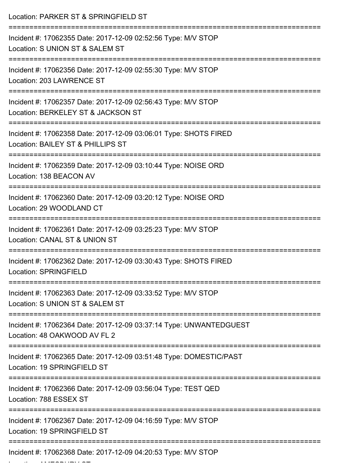| Location: PARKER ST & SPRINGFIELD ST                                                                                                                           |
|----------------------------------------------------------------------------------------------------------------------------------------------------------------|
| Incident #: 17062355 Date: 2017-12-09 02:52:56 Type: M/V STOP<br>Location: S UNION ST & SALEM ST                                                               |
| Incident #: 17062356 Date: 2017-12-09 02:55:30 Type: M/V STOP<br>Location: 203 LAWRENCE ST                                                                     |
| Incident #: 17062357 Date: 2017-12-09 02:56:43 Type: M/V STOP<br>Location: BERKELEY ST & JACKSON ST                                                            |
| ----------------------<br>Incident #: 17062358 Date: 2017-12-09 03:06:01 Type: SHOTS FIRED<br>Location: BAILEY ST & PHILLIPS ST                                |
| Incident #: 17062359 Date: 2017-12-09 03:10:44 Type: NOISE ORD<br>Location: 138 BEACON AV                                                                      |
| Incident #: 17062360 Date: 2017-12-09 03:20:12 Type: NOISE ORD<br>Location: 29 WOODLAND CT                                                                     |
| Incident #: 17062361 Date: 2017-12-09 03:25:23 Type: M/V STOP<br>Location: CANAL ST & UNION ST                                                                 |
| .-----------------------<br>=====================================<br>Incident #: 17062362 Date: 2017-12-09 03:30:43 Type: SHOTS FIRED<br>Location: SPRINGFIELD |
| Incident #: 17062363 Date: 2017-12-09 03:33:52 Type: M/V STOP<br>Location: S UNION ST & SALEM ST                                                               |
| Incident #: 17062364 Date: 2017-12-09 03:37:14 Type: UNWANTEDGUEST<br>Location: 48 OAKWOOD AV FL 2                                                             |
| Incident #: 17062365 Date: 2017-12-09 03:51:48 Type: DOMESTIC/PAST<br>Location: 19 SPRINGFIELD ST                                                              |
| Incident #: 17062366 Date: 2017-12-09 03:56:04 Type: TEST QED<br>Location: 788 ESSEX ST                                                                        |
| Incident #: 17062367 Date: 2017-12-09 04:16:59 Type: M/V STOP<br>Location: 19 SPRINGFIELD ST                                                                   |
| Incident #: 17062368 Date: 2017-12-09 04:20:53 Type: M/V STOP                                                                                                  |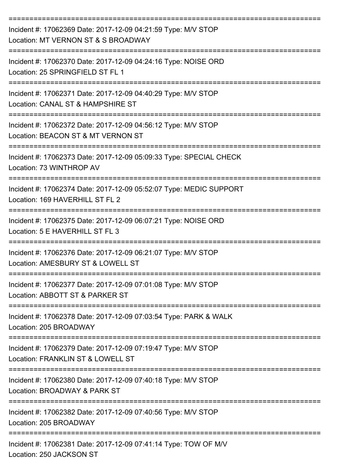| Incident #: 17062369 Date: 2017-12-09 04:21:59 Type: M/V STOP<br>Location: MT VERNON ST & S BROADWAY  |
|-------------------------------------------------------------------------------------------------------|
| Incident #: 17062370 Date: 2017-12-09 04:24:16 Type: NOISE ORD<br>Location: 25 SPRINGFIELD ST FL 1    |
| Incident #: 17062371 Date: 2017-12-09 04:40:29 Type: M/V STOP<br>Location: CANAL ST & HAMPSHIRE ST    |
| Incident #: 17062372 Date: 2017-12-09 04:56:12 Type: M/V STOP<br>Location: BEACON ST & MT VERNON ST   |
| Incident #: 17062373 Date: 2017-12-09 05:09:33 Type: SPECIAL CHECK<br>Location: 73 WINTHROP AV        |
| Incident #: 17062374 Date: 2017-12-09 05:52:07 Type: MEDIC SUPPORT<br>Location: 169 HAVERHILL ST FL 2 |
| Incident #: 17062375 Date: 2017-12-09 06:07:21 Type: NOISE ORD<br>Location: 5 E HAVERHILL ST FL 3     |
| Incident #: 17062376 Date: 2017-12-09 06:21:07 Type: M/V STOP<br>Location: AMESBURY ST & LOWELL ST    |
| Incident #: 17062377 Date: 2017-12-09 07:01:08 Type: M/V STOP<br>Location: ABBOTT ST & PARKER ST      |
| Incident #: 17062378 Date: 2017-12-09 07:03:54 Type: PARK & WALK<br>Location: 205 BROADWAY            |
| Incident #: 17062379 Date: 2017-12-09 07:19:47 Type: M/V STOP<br>Location: FRANKLIN ST & LOWELL ST    |
| Incident #: 17062380 Date: 2017-12-09 07:40:18 Type: M/V STOP<br>Location: BROADWAY & PARK ST         |
| Incident #: 17062382 Date: 2017-12-09 07:40:56 Type: M/V STOP<br>Location: 205 BROADWAY               |
| Incident #: 17062381 Date: 2017-12-09 07:41:14 Type: TOW OF M/V                                       |

Location: 250 JACKSON ST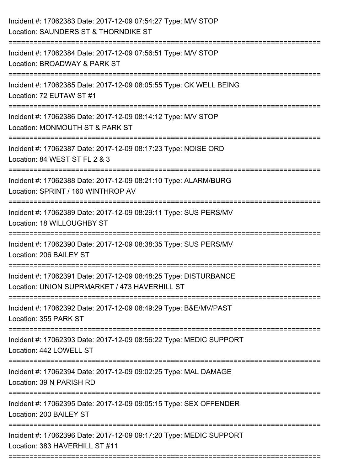| Incident #: 17062383 Date: 2017-12-09 07:54:27 Type: M/V STOP<br>Location: SAUNDERS ST & THORNDIKE ST             |
|-------------------------------------------------------------------------------------------------------------------|
| Incident #: 17062384 Date: 2017-12-09 07:56:51 Type: M/V STOP<br>Location: BROADWAY & PARK ST                     |
| Incident #: 17062385 Date: 2017-12-09 08:05:55 Type: CK WELL BEING<br>Location: 72 EUTAW ST #1                    |
| Incident #: 17062386 Date: 2017-12-09 08:14:12 Type: M/V STOP<br>Location: MONMOUTH ST & PARK ST                  |
| Incident #: 17062387 Date: 2017-12-09 08:17:23 Type: NOISE ORD<br>Location: 84 WEST ST FL 2 & 3                   |
| Incident #: 17062388 Date: 2017-12-09 08:21:10 Type: ALARM/BURG<br>Location: SPRINT / 160 WINTHROP AV             |
| Incident #: 17062389 Date: 2017-12-09 08:29:11 Type: SUS PERS/MV<br>Location: 18 WILLOUGHBY ST                    |
| Incident #: 17062390 Date: 2017-12-09 08:38:35 Type: SUS PERS/MV<br>Location: 206 BAILEY ST                       |
| Incident #: 17062391 Date: 2017-12-09 08:48:25 Type: DISTURBANCE<br>Location: UNION SUPRMARKET / 473 HAVERHILL ST |
| Incident #: 17062392 Date: 2017-12-09 08:49:29 Type: B&E/MV/PAST<br>Location: 355 PARK ST                         |
| Incident #: 17062393 Date: 2017-12-09 08:56:22 Type: MEDIC SUPPORT<br>Location: 442 LOWELL ST                     |
| Incident #: 17062394 Date: 2017-12-09 09:02:25 Type: MAL DAMAGE<br>Location: 39 N PARISH RD                       |
| Incident #: 17062395 Date: 2017-12-09 09:05:15 Type: SEX OFFENDER<br>Location: 200 BAILEY ST                      |
| Incident #: 17062396 Date: 2017-12-09 09:17:20 Type: MEDIC SUPPORT<br>Location: 383 HAVERHILL ST #11              |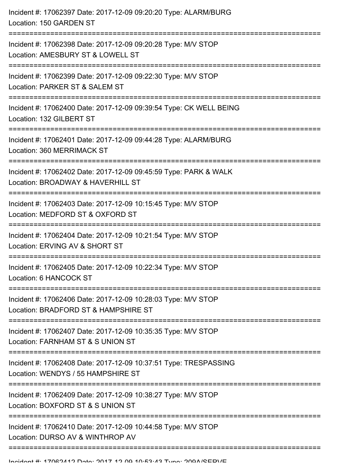| Incident #: 17062397 Date: 2017-12-09 09:20:20 Type: ALARM/BURG<br>Location: 150 GARDEN ST                                          |
|-------------------------------------------------------------------------------------------------------------------------------------|
| Incident #: 17062398 Date: 2017-12-09 09:20:28 Type: M/V STOP<br>Location: AMESBURY ST & LOWELL ST                                  |
| Incident #: 17062399 Date: 2017-12-09 09:22:30 Type: M/V STOP<br>Location: PARKER ST & SALEM ST                                     |
| Incident #: 17062400 Date: 2017-12-09 09:39:54 Type: CK WELL BEING<br>Location: 132 GILBERT ST                                      |
| Incident #: 17062401 Date: 2017-12-09 09:44:28 Type: ALARM/BURG<br>Location: 360 MERRIMACK ST                                       |
| Incident #: 17062402 Date: 2017-12-09 09:45:59 Type: PARK & WALK<br>Location: BROADWAY & HAVERHILL ST<br>-------------------------- |
| Incident #: 17062403 Date: 2017-12-09 10:15:45 Type: M/V STOP<br>Location: MEDFORD ST & OXFORD ST                                   |
| Incident #: 17062404 Date: 2017-12-09 10:21:54 Type: M/V STOP<br>Location: ERVING AV & SHORT ST                                     |
| Incident #: 17062405 Date: 2017-12-09 10:22:34 Type: M/V STOP<br>Location: 6 HANCOCK ST                                             |
| Incident #: 17062406 Date: 2017-12-09 10:28:03 Type: M/V STOP<br>Location: BRADFORD ST & HAMPSHIRE ST                               |
| Incident #: 17062407 Date: 2017-12-09 10:35:35 Type: M/V STOP<br>Location: FARNHAM ST & S UNION ST                                  |
| Incident #: 17062408 Date: 2017-12-09 10:37:51 Type: TRESPASSING<br>Location: WENDYS / 55 HAMPSHIRE ST                              |
| Incident #: 17062409 Date: 2017-12-09 10:38:27 Type: M/V STOP<br>Location: BOXFORD ST & S UNION ST                                  |
| Incident #: 17062410 Date: 2017-12-09 10:44:58 Type: M/V STOP<br>Location: DURSO AV & WINTHROP AV                                   |
|                                                                                                                                     |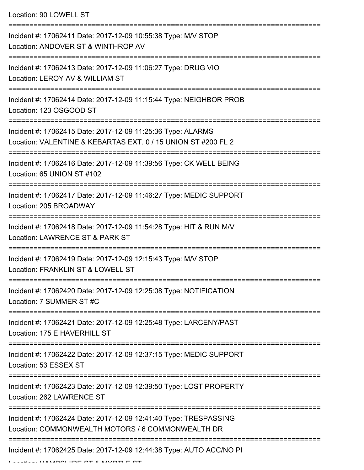Location: 90 LOWELL ST

| Incident #: 17062411 Date: 2017-12-09 10:55:38 Type: M/V STOP<br>Location: ANDOVER ST & WINTHROP AV                                                      |
|----------------------------------------------------------------------------------------------------------------------------------------------------------|
| Incident #: 17062413 Date: 2017-12-09 11:06:27 Type: DRUG VIO<br>Location: LEROY AV & WILLIAM ST                                                         |
| Incident #: 17062414 Date: 2017-12-09 11:15:44 Type: NEIGHBOR PROB<br>Location: 123 OSGOOD ST                                                            |
| Incident #: 17062415 Date: 2017-12-09 11:25:36 Type: ALARMS<br>Location: VALENTINE & KEBARTAS EXT. 0 / 15 UNION ST #200 FL 2                             |
| Incident #: 17062416 Date: 2017-12-09 11:39:56 Type: CK WELL BEING<br>Location: 65 UNION ST #102                                                         |
| Incident #: 17062417 Date: 2017-12-09 11:46:27 Type: MEDIC SUPPORT<br>Location: 205 BROADWAY                                                             |
| Incident #: 17062418 Date: 2017-12-09 11:54:28 Type: HIT & RUN M/V<br>Location: LAWRENCE ST & PARK ST                                                    |
| Incident #: 17062419 Date: 2017-12-09 12:15:43 Type: M/V STOP<br>Location: FRANKLIN ST & LOWELL ST                                                       |
| Incident #: 17062420 Date: 2017-12-09 12:25:08 Type: NOTIFICATION<br>Location: 7 SUMMER ST #C                                                            |
| Incident #: 17062421 Date: 2017-12-09 12:25:48 Type: LARCENY/PAST<br>Location: 175 E HAVERHILL ST                                                        |
| Incident #: 17062422 Date: 2017-12-09 12:37:15 Type: MEDIC SUPPORT<br>Location: 53 ESSEX ST                                                              |
| Incident #: 17062423 Date: 2017-12-09 12:39:50 Type: LOST PROPERTY<br>Location: 262 LAWRENCE ST                                                          |
| Incident #: 17062424 Date: 2017-12-09 12:41:40 Type: TRESPASSING<br>Location: COMMONWEALTH MOTORS / 6 COMMONWEALTH DR<br>=============================== |
| Incident #: 17062425 Date: 2017-12-09 12:44:38 Type: AUTO ACC/NO PI                                                                                      |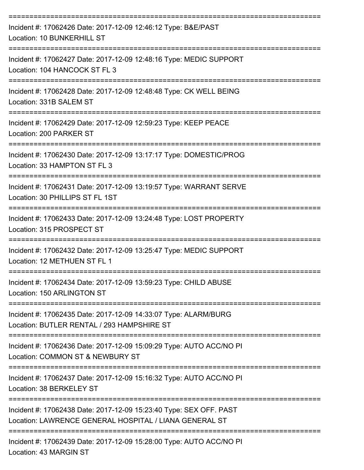| Incident #: 17062426 Date: 2017-12-09 12:46:12 Type: B&E/PAST<br>Location: 10 BUNKERHILL ST                                        |
|------------------------------------------------------------------------------------------------------------------------------------|
| Incident #: 17062427 Date: 2017-12-09 12:48:16 Type: MEDIC SUPPORT<br>Location: 104 HANCOCK ST FL 3                                |
| Incident #: 17062428 Date: 2017-12-09 12:48:48 Type: CK WELL BEING<br>Location: 331B SALEM ST                                      |
| Incident #: 17062429 Date: 2017-12-09 12:59:23 Type: KEEP PEACE<br>Location: 200 PARKER ST                                         |
| Incident #: 17062430 Date: 2017-12-09 13:17:17 Type: DOMESTIC/PROG<br>Location: 33 HAMPTON ST FL 3                                 |
| Incident #: 17062431 Date: 2017-12-09 13:19:57 Type: WARRANT SERVE<br>Location: 30 PHILLIPS ST FL 1ST                              |
| Incident #: 17062433 Date: 2017-12-09 13:24:48 Type: LOST PROPERTY<br>Location: 315 PROSPECT ST                                    |
| Incident #: 17062432 Date: 2017-12-09 13:25:47 Type: MEDIC SUPPORT<br>Location: 12 METHUEN ST FL 1                                 |
| Incident #: 17062434 Date: 2017-12-09 13:59:23 Type: CHILD ABUSE<br>Location: 150 ARLINGTON ST                                     |
| Incident #: 17062435 Date: 2017-12-09 14:33:07 Type: ALARM/BURG<br>Location: BUTLER RENTAL / 293 HAMPSHIRE ST                      |
| Incident #: 17062436 Date: 2017-12-09 15:09:29 Type: AUTO ACC/NO PI<br>Location: COMMON ST & NEWBURY ST                            |
| Incident #: 17062437 Date: 2017-12-09 15:16:32 Type: AUTO ACC/NO PI<br>Location: 38 BERKELEY ST                                    |
| Incident #: 17062438 Date: 2017-12-09 15:23:40 Type: SEX OFF. PAST<br>Location: LAWRENCE GENERAL HOSPITAL / LIANA GENERAL ST       |
| ---------------------------------<br>Incident #: 17062439 Date: 2017-12-09 15:28:00 Type: AUTO ACC/NO PI<br>Location: 43 MARGIN ST |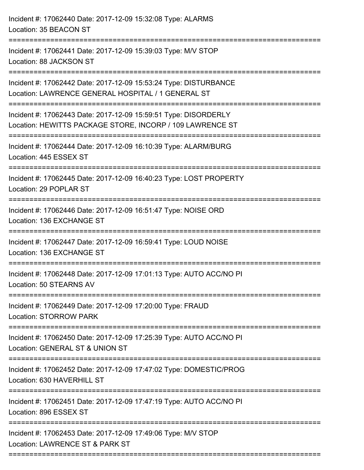| Incident #: 17062440 Date: 2017-12-09 15:32:08 Type: ALARMS<br>Location: 35 BEACON ST                                        |
|------------------------------------------------------------------------------------------------------------------------------|
| Incident #: 17062441 Date: 2017-12-09 15:39:03 Type: M/V STOP<br>Location: 88 JACKSON ST                                     |
| Incident #: 17062442 Date: 2017-12-09 15:53:24 Type: DISTURBANCE<br>Location: LAWRENCE GENERAL HOSPITAL / 1 GENERAL ST       |
| Incident #: 17062443 Date: 2017-12-09 15:59:51 Type: DISORDERLY<br>Location: HEWITTS PACKAGE STORE, INCORP / 109 LAWRENCE ST |
| Incident #: 17062444 Date: 2017-12-09 16:10:39 Type: ALARM/BURG<br>Location: 445 ESSEX ST                                    |
| Incident #: 17062445 Date: 2017-12-09 16:40:23 Type: LOST PROPERTY<br>Location: 29 POPLAR ST                                 |
| Incident #: 17062446 Date: 2017-12-09 16:51:47 Type: NOISE ORD<br>Location: 136 EXCHANGE ST                                  |
| Incident #: 17062447 Date: 2017-12-09 16:59:41 Type: LOUD NOISE<br>Location: 136 EXCHANGE ST                                 |
| Incident #: 17062448 Date: 2017-12-09 17:01:13 Type: AUTO ACC/NO PI<br>Location: 50 STEARNS AV                               |
| Incident #: 17062449 Date: 2017-12-09 17:20:00 Type: FRAUD<br><b>Location: STORROW PARK</b>                                  |
| Incident #: 17062450 Date: 2017-12-09 17:25:39 Type: AUTO ACC/NO PI<br>Location: GENERAL ST & UNION ST                       |
| Incident #: 17062452 Date: 2017-12-09 17:47:02 Type: DOMESTIC/PROG<br>Location: 630 HAVERHILL ST                             |
| Incident #: 17062451 Date: 2017-12-09 17:47:19 Type: AUTO ACC/NO PI<br>Location: 896 ESSEX ST                                |
| Incident #: 17062453 Date: 2017-12-09 17:49:06 Type: M/V STOP<br>Location: LAWRENCE ST & PARK ST                             |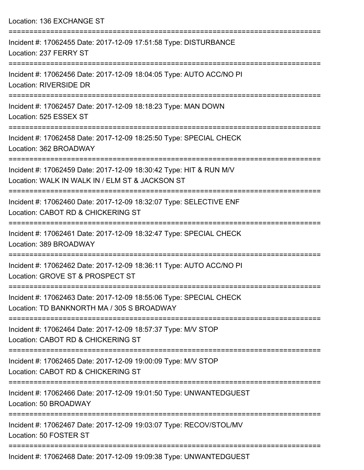| Location: 136 EXCHANGE ST |  |
|---------------------------|--|
|---------------------------|--|

| Incident #: 17062455 Date: 2017-12-09 17:51:58 Type: DISTURBANCE<br>Location: 237 FERRY ST                            |
|-----------------------------------------------------------------------------------------------------------------------|
| Incident #: 17062456 Date: 2017-12-09 18:04:05 Type: AUTO ACC/NO PI<br>Location: RIVERSIDE DR                         |
| Incident #: 17062457 Date: 2017-12-09 18:18:23 Type: MAN DOWN<br>Location: 525 ESSEX ST                               |
| Incident #: 17062458 Date: 2017-12-09 18:25:50 Type: SPECIAL CHECK<br>Location: 362 BROADWAY                          |
| Incident #: 17062459 Date: 2017-12-09 18:30:42 Type: HIT & RUN M/V<br>Location: WALK IN WALK IN / ELM ST & JACKSON ST |
| Incident #: 17062460 Date: 2017-12-09 18:32:07 Type: SELECTIVE ENF<br>Location: CABOT RD & CHICKERING ST              |
| Incident #: 17062461 Date: 2017-12-09 18:32:47 Type: SPECIAL CHECK<br>Location: 389 BROADWAY                          |
| Incident #: 17062462 Date: 2017-12-09 18:36:11 Type: AUTO ACC/NO PI<br>Location: GROVE ST & PROSPECT ST               |
| Incident #: 17062463 Date: 2017-12-09 18:55:06 Type: SPECIAL CHECK<br>Location: TD BANKNORTH MA / 305 S BROADWAY      |
| Incident #: 17062464 Date: 2017-12-09 18:57:37 Type: M/V STOP<br>Location: CABOT RD & CHICKERING ST                   |
| Incident #: 17062465 Date: 2017-12-09 19:00:09 Type: M/V STOP<br>Location: CABOT RD & CHICKERING ST                   |
| Incident #: 17062466 Date: 2017-12-09 19:01:50 Type: UNWANTEDGUEST<br>Location: 50 BROADWAY                           |
| Incident #: 17062467 Date: 2017-12-09 19:03:07 Type: RECOV/STOL/MV<br>Location: 50 FOSTER ST                          |
| $17000100$ Deta: $2017$ 10.00.10.00.20 T. $m_{\odot}$ I INUALAUTED OUE OT                                             |

Incident #: 17062468 Date: 2017-12-09 19:09:38 Type: UNWANTEDGUEST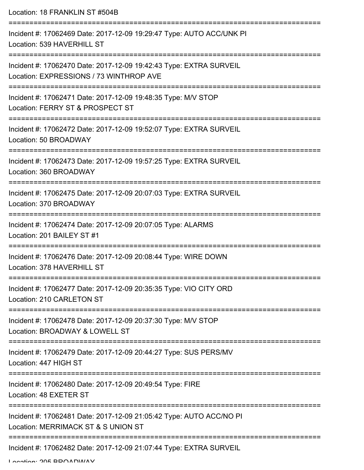Location: 18 FRANKLIN ST #504B =========================================================================== Incident #: 17062469 Date: 2017-12-09 19:29:47 Type: AUTO ACC/UNK PI Location: 539 HAVERHILL ST =========================================================================== Incident #: 17062470 Date: 2017-12-09 19:42:43 Type: EXTRA SURVEIL Location: EXPRESSIONS / 73 WINTHROP AVE =========================================================================== Incident #: 17062471 Date: 2017-12-09 19:48:35 Type: M/V STOP Location: FERRY ST & PROSPECT ST =========================================================================== Incident #: 17062472 Date: 2017-12-09 19:52:07 Type: EXTRA SURVEIL Location: 50 BROADWAY =========================================================================== Incident #: 17062473 Date: 2017-12-09 19:57:25 Type: EXTRA SURVEIL Location: 360 BROADWAY =========================================================================== Incident #: 17062475 Date: 2017-12-09 20:07:03 Type: EXTRA SURVEIL Location: 370 BROADWAY =========================================================================== Incident #: 17062474 Date: 2017-12-09 20:07:05 Type: ALARMS Location: 201 BAILEY ST #1 =========================================================================== Incident #: 17062476 Date: 2017-12-09 20:08:44 Type: WIRE DOWN Location: 378 HAVERHILL ST =========================================================================== Incident #: 17062477 Date: 2017-12-09 20:35:35 Type: VIO CITY ORD Location: 210 CARLETON ST =========================================================================== Incident #: 17062478 Date: 2017-12-09 20:37:30 Type: M/V STOP Location: BROADWAY & LOWELL ST =========================================================================== Incident #: 17062479 Date: 2017-12-09 20:44:27 Type: SUS PERS/MV Location: 447 HIGH ST =========================================================================== Incident #: 17062480 Date: 2017-12-09 20:49:54 Type: FIRE Location: 48 EXETER ST =========================================================================== Incident #: 17062481 Date: 2017-12-09 21:05:42 Type: AUTO ACC/NO PI Location: MERRIMACK ST & S UNION ST ===========================================================================

Incident #: 17062482 Date: 2017-12-09 21:07:44 Type: EXTRA SURVEIL

Location: 205 BROADWAY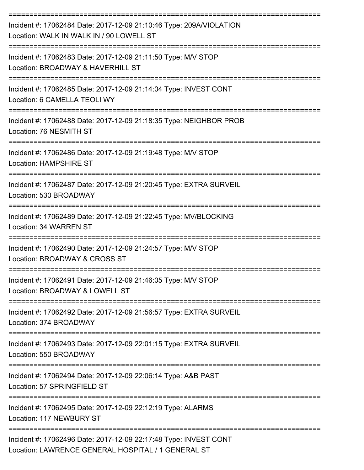| Incident #: 17062484 Date: 2017-12-09 21:10:46 Type: 209A/VIOLATION<br>Location: WALK IN WALK IN / 90 LOWELL ST        |
|------------------------------------------------------------------------------------------------------------------------|
| Incident #: 17062483 Date: 2017-12-09 21:11:50 Type: M/V STOP<br>Location: BROADWAY & HAVERHILL ST                     |
| Incident #: 17062485 Date: 2017-12-09 21:14:04 Type: INVEST CONT<br>Location: 6 CAMELLA TEOLI WY                       |
| Incident #: 17062488 Date: 2017-12-09 21:18:35 Type: NEIGHBOR PROB<br>Location: 76 NESMITH ST                          |
| Incident #: 17062486 Date: 2017-12-09 21:19:48 Type: M/V STOP<br><b>Location: HAMPSHIRE ST</b>                         |
| Incident #: 17062487 Date: 2017-12-09 21:20:45 Type: EXTRA SURVEIL<br>Location: 530 BROADWAY                           |
| Incident #: 17062489 Date: 2017-12-09 21:22:45 Type: MV/BLOCKING<br>Location: 34 WARREN ST                             |
| Incident #: 17062490 Date: 2017-12-09 21:24:57 Type: M/V STOP<br>Location: BROADWAY & CROSS ST                         |
| Incident #: 17062491 Date: 2017-12-09 21:46:05 Type: M/V STOP<br>Location: BROADWAY & LOWELL ST                        |
| Incident #: 17062492 Date: 2017-12-09 21:56:57 Type: EXTRA SURVEIL<br>Location: 374 BROADWAY                           |
| Incident #: 17062493 Date: 2017-12-09 22:01:15 Type: EXTRA SURVEIL<br>Location: 550 BROADWAY                           |
| Incident #: 17062494 Date: 2017-12-09 22:06:14 Type: A&B PAST<br>Location: 57 SPRINGFIELD ST                           |
| Incident #: 17062495 Date: 2017-12-09 22:12:19 Type: ALARMS<br><b>Location: 117 NEWBURY ST</b>                         |
| Incident #: 17062496 Date: 2017-12-09 22:17:48 Type: INVEST CONT<br>Location: LAWRENCE GENERAL HOSPITAL / 1 GENERAL ST |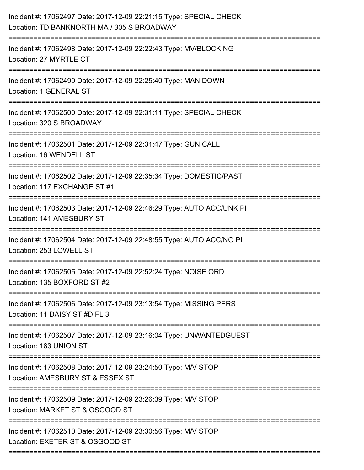| Incident #: 17062497 Date: 2017-12-09 22:21:15 Type: SPECIAL CHECK<br>Location: TD BANKNORTH MA / 305 S BROADWAY |
|------------------------------------------------------------------------------------------------------------------|
| Incident #: 17062498 Date: 2017-12-09 22:22:43 Type: MV/BLOCKING<br>Location: 27 MYRTLE CT                       |
| Incident #: 17062499 Date: 2017-12-09 22:25:40 Type: MAN DOWN<br>Location: 1 GENERAL ST                          |
| Incident #: 17062500 Date: 2017-12-09 22:31:11 Type: SPECIAL CHECK<br>Location: 320 S BROADWAY                   |
| Incident #: 17062501 Date: 2017-12-09 22:31:47 Type: GUN CALL<br>Location: 16 WENDELL ST                         |
| Incident #: 17062502 Date: 2017-12-09 22:35:34 Type: DOMESTIC/PAST<br>Location: 117 EXCHANGE ST #1               |
| Incident #: 17062503 Date: 2017-12-09 22:46:29 Type: AUTO ACC/UNK PI<br>Location: 141 AMESBURY ST                |
| Incident #: 17062504 Date: 2017-12-09 22:48:55 Type: AUTO ACC/NO PI<br>Location: 253 LOWELL ST                   |
| Incident #: 17062505 Date: 2017-12-09 22:52:24 Type: NOISE ORD<br>Location: 135 BOXFORD ST #2                    |
| Incident #: 17062506 Date: 2017-12-09 23:13:54 Type: MISSING PERS<br>Location: 11 DAISY ST #D FL 3               |
| Incident #: 17062507 Date: 2017-12-09 23:16:04 Type: UNWANTEDGUEST<br>Location: 163 UNION ST                     |
| Incident #: 17062508 Date: 2017-12-09 23:24:50 Type: M/V STOP<br>Location: AMESBURY ST & ESSEX ST                |
| Incident #: 17062509 Date: 2017-12-09 23:26:39 Type: M/V STOP<br>Location: MARKET ST & OSGOOD ST                 |
| Incident #: 17062510 Date: 2017-12-09 23:30:56 Type: M/V STOP<br>Location: EXETER ST & OSGOOD ST                 |

Incident #: 17062511 Date: 2017 12 09 24:41:00 Type: 2017 12 09 24:41:00 Type: LOUD NOISE<br>.